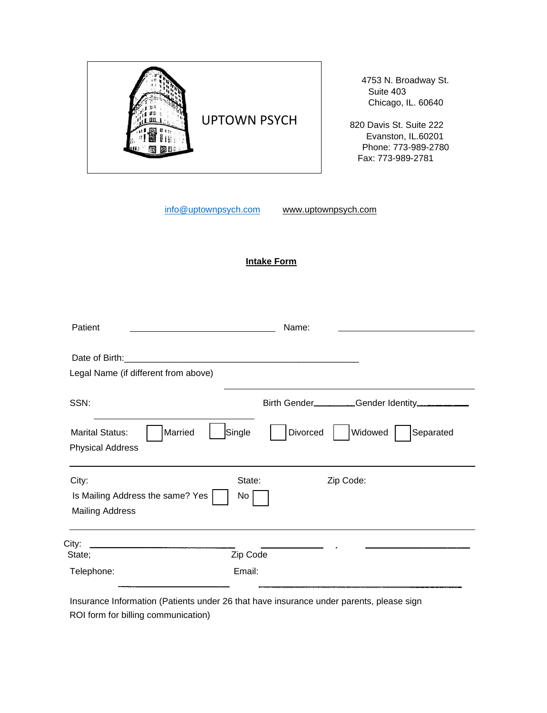

4753 N. Broadway St. Suite 403 Chicago, IL. 60640

820 Davis St. Suite 222 Evanston, IL.60201 Phone: 773-989-2780 Fax: 773-989-2781

info@uptownpsych.com www.uptownpsych.com

## **Intake Form**

| Patient                                                             | Name:                                          |
|---------------------------------------------------------------------|------------------------------------------------|
| Date of Birth:<br>Legal Name (if different from above)              |                                                |
| SSN:                                                                | Birth Gender_________Gender Identity__________ |
| Married<br><b>Marital Status:</b><br><b>Physical Address</b>        | Divorced<br>Widowed<br>Single<br>Separated     |
| City:<br>Is Mailing Address the same? Yes<br><b>Mailing Address</b> | State:<br>Zip Code:<br>No <sub>1</sub>         |
| City:                                                               |                                                |
| State;                                                              | Zip Code                                       |
| Telephone:                                                          | Email:                                         |

Insurance Information (Patients under 26 that have insurance under parents, please sign ROI form for billing communication)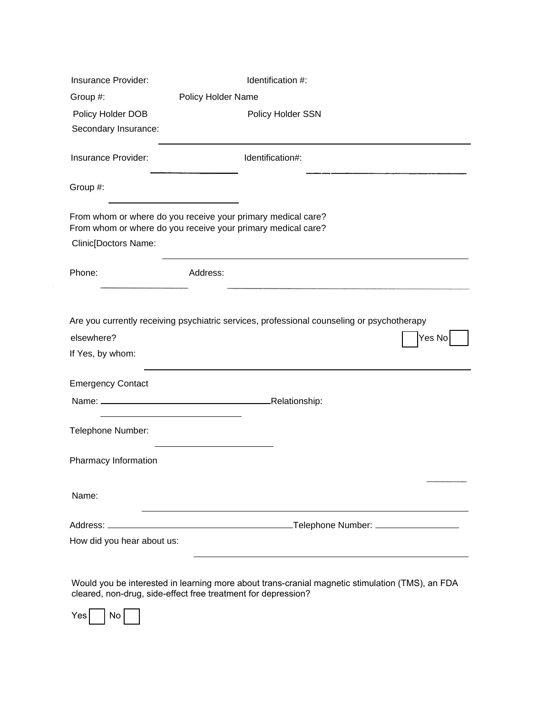| Insurance Provider:                                                                                                                                         |                    | Identification #:                                                                                    |
|-------------------------------------------------------------------------------------------------------------------------------------------------------------|--------------------|------------------------------------------------------------------------------------------------------|
| Group #:                                                                                                                                                    | Policy Holder Name |                                                                                                      |
| Policy Holder DOB                                                                                                                                           |                    | Policy Holder SSN                                                                                    |
| Secondary Insurance:                                                                                                                                        |                    |                                                                                                      |
| Insurance Provider:                                                                                                                                         |                    | Identification#:                                                                                     |
| Group #:                                                                                                                                                    |                    |                                                                                                      |
| From whom or where do you receive your primary medical care?<br>From whom or where do you receive your primary medical care?<br><b>Clinic[Doctors Name:</b> |                    |                                                                                                      |
| Phone:                                                                                                                                                      | Address:           |                                                                                                      |
| elsewhere?<br>If Yes, by whom:                                                                                                                              |                    | Are you currently receiving psychiatric services, professional counseling or psychotherapy<br>Yes No |
| <b>Emergency Contact</b>                                                                                                                                    |                    |                                                                                                      |
|                                                                                                                                                             |                    |                                                                                                      |
| Telephone Number:                                                                                                                                           |                    |                                                                                                      |
| Pharmacy Information                                                                                                                                        |                    |                                                                                                      |
| Name:                                                                                                                                                       |                    |                                                                                                      |
| Address:                                                                                                                                                    |                    |                                                                                                      |
| How did you hear about us:                                                                                                                                  |                    |                                                                                                      |
|                                                                                                                                                             |                    |                                                                                                      |

Would you be interested in learning more about trans-cranial magnetic stimulation (TMS), an FDA cleared, non-drug, side-effect free treatment for depression?



 $\mathcal{A}$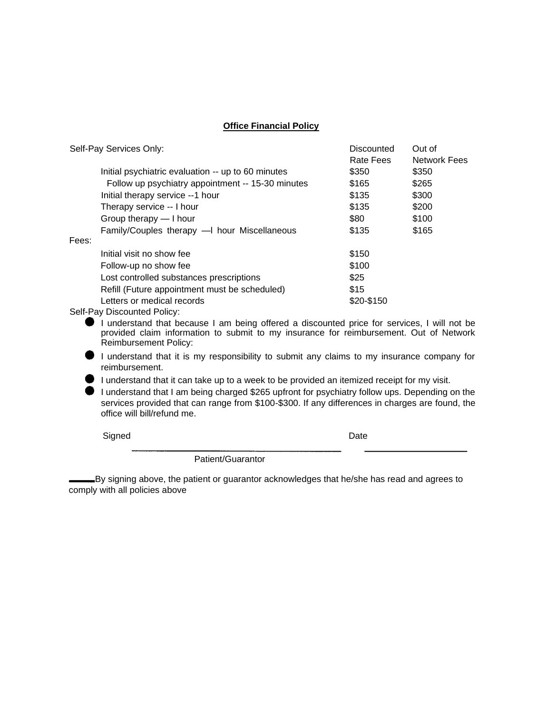## **Office Financial Policy**

|       | Self-Pay Services Only:                                                                                                                                                                                                                                                                                                         | <b>Discounted</b> | Out of       |
|-------|---------------------------------------------------------------------------------------------------------------------------------------------------------------------------------------------------------------------------------------------------------------------------------------------------------------------------------|-------------------|--------------|
|       |                                                                                                                                                                                                                                                                                                                                 | Rate Fees         | Network Fees |
|       | Initial psychiatric evaluation -- up to 60 minutes                                                                                                                                                                                                                                                                              | \$350             | \$350        |
|       | Follow up psychiatry appointment -- 15-30 minutes                                                                                                                                                                                                                                                                               | \$165             | \$265        |
|       | Initial therapy service --1 hour                                                                                                                                                                                                                                                                                                | \$135             | \$300        |
|       | Therapy service -- I hour                                                                                                                                                                                                                                                                                                       | \$135             | \$200        |
|       | Group therapy - I hour                                                                                                                                                                                                                                                                                                          | \$80              | \$100        |
|       | Family/Couples therapy - I hour Miscellaneous                                                                                                                                                                                                                                                                                   | \$135             | \$165        |
| Fees: |                                                                                                                                                                                                                                                                                                                                 |                   |              |
|       | Initial visit no show fee                                                                                                                                                                                                                                                                                                       | \$150             |              |
|       | Follow-up no show fee                                                                                                                                                                                                                                                                                                           | \$100             |              |
|       | Lost controlled substances prescriptions                                                                                                                                                                                                                                                                                        | \$25              |              |
|       | Refill (Future appointment must be scheduled)                                                                                                                                                                                                                                                                                   | \$15              |              |
|       | Letters or medical records                                                                                                                                                                                                                                                                                                      | \$20-\$150        |              |
|       | Self-Pay Discounted Policy:                                                                                                                                                                                                                                                                                                     |                   |              |
|       | I understand that because I am being offered a discounted price for services, I will not be<br>provided claim information to submit to my insurance for reimbursement. Out of Network<br><b>Reimbursement Policy:</b>                                                                                                           |                   |              |
|       | I understand that it is my responsibility to submit any claims to my insurance company for<br>reimbursement.                                                                                                                                                                                                                    |                   |              |
|       | I understand that it can take up to a week to be provided an itemized receipt for my visit.<br>I understand that I am being charged \$265 upfront for psychiatry follow ups. Depending on the<br>services provided that can range from \$100-\$300. If any differences in charges are found, the<br>office will bill/refund me. |                   |              |
|       | Signed                                                                                                                                                                                                                                                                                                                          | Date              |              |

Patient/Guarantor

By signing above, the patient or guarantor acknowledges that he/she has read and agrees to comply with all policies above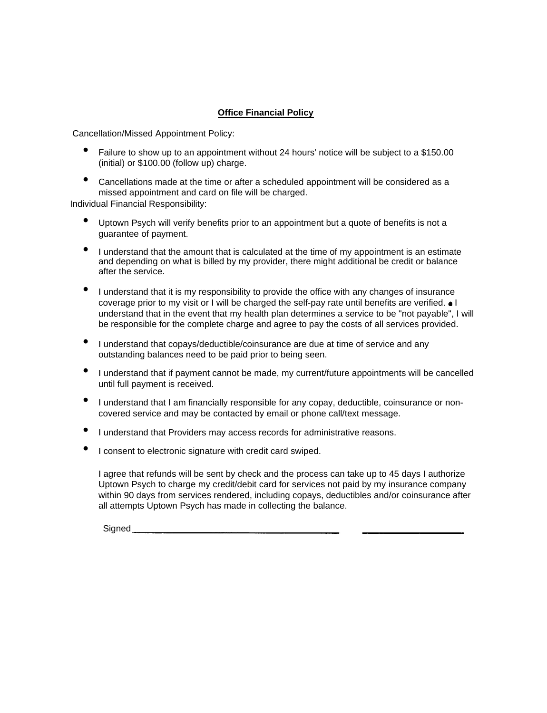#### **Office Financial Policy**

Cancellation/Missed Appointment Policy:

- Failure to show up to an appointment without 24 hours' notice will be subject to a \$150.00 (initial) or \$100.00 (follow up) charge.
- Cancellations made at the time or after a scheduled appointment will be considered as a missed appointment and card on file will be charged.

Individual Financial Responsibility:

- Uptown Psych will verify benefits prior to an appointment but a quote of benefits is not a guarantee of payment.
- I understand that the amount that is calculated at the time of my appointment is an estimate and depending on what is billed by my provider, there might additional be credit or balance after the service.
- I understand that it is my responsibility to provide the office with any changes of insurance coverage prior to my visit or I will be charged the self-pay rate until benefits are verified.  $\bullet$  I understand that in the event that my health plan determines a service to be "not payable", I will be responsible for the complete charge and agree to pay the costs of all services provided.
- I understand that copays/deductible/coinsurance are due at time of service and any outstanding balances need to be paid prior to being seen.
- I understand that if payment cannot be made, my current/future appointments will be cancelled until full payment is received.
- I understand that I am financially responsible for any copay, deductible, coinsurance or noncovered service and may be contacted by email or phone call/text message.
- I understand that Providers may access records for administrative reasons.
- I consent to electronic signature with credit card swiped.

I agree that refunds will be sent by check and the process can take up to 45 days I authorize Uptown Psych to charge my credit/debit card for services not paid by my insurance company within 90 days from services rendered, including copays, deductibles and/or coinsurance after all attempts Uptown Psych has made in collecting the balance.

Signed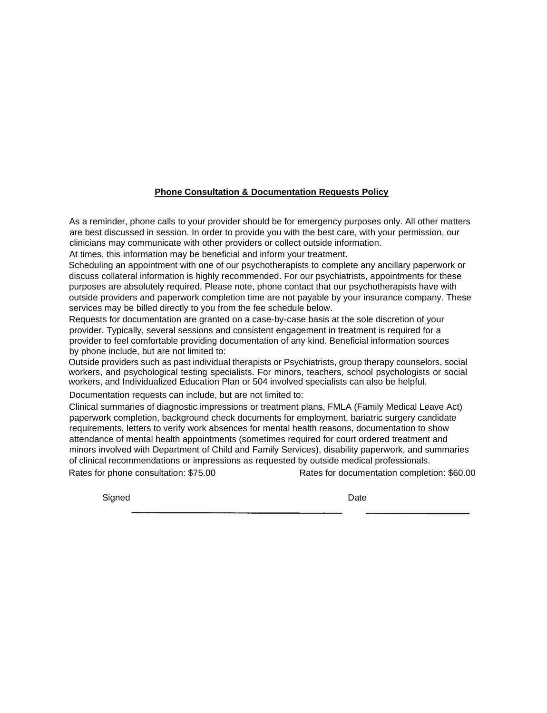## **Phone Consultation & Documentation Requests Policy**

As a reminder, phone calls to your provider should be for emergency purposes only. All other matters are best discussed in session. In order to provide you with the best care, with your permission, our clinicians may communicate with other providers or collect outside information.

At times, this information may be beneficial and inform your treatment.

Scheduling an appointment with one of our psychotherapists to complete any ancillary paperwork or discuss collateral information is highly recommended. For our psychiatrists, appointments for these purposes are absolutely required. Please note, phone contact that our psychotherapists have with outside providers and paperwork completion time are not payable by your insurance company. These services may be billed directly to you from the fee schedule below.

Requests for documentation are granted on a case-by-case basis at the sole discretion of your provider. Typically, several sessions and consistent engagement in treatment is required for a provider to feel comfortable providing documentation of any kind. Beneficial information sources by phone include, but are not limited to:

Outside providers such as past individual therapists or Psychiatrists, group therapy counselors, social workers, and psychological testing specialists. For minors, teachers, school psychologists or social workers, and Individualized Education Plan or 504 involved specialists can also be helpful.

Documentation requests can include, but are not limited to:

Clinical summaries of diagnostic impressions or treatment plans, FMLA (Family Medical Leave Act) paperwork completion, background check documents for employment, bariatric surgery candidate requirements, letters to verify work absences for mental health reasons, documentation to show attendance of mental health appointments (sometimes required for court ordered treatment and minors involved with Department of Child and Family Services), disability paperwork, and summaries of clinical recommendations or impressions as requested by outside medical professionals.

Rates for phone consultation: \$75.00 Rates for documentation completion: \$60.00

Signed Date Date Date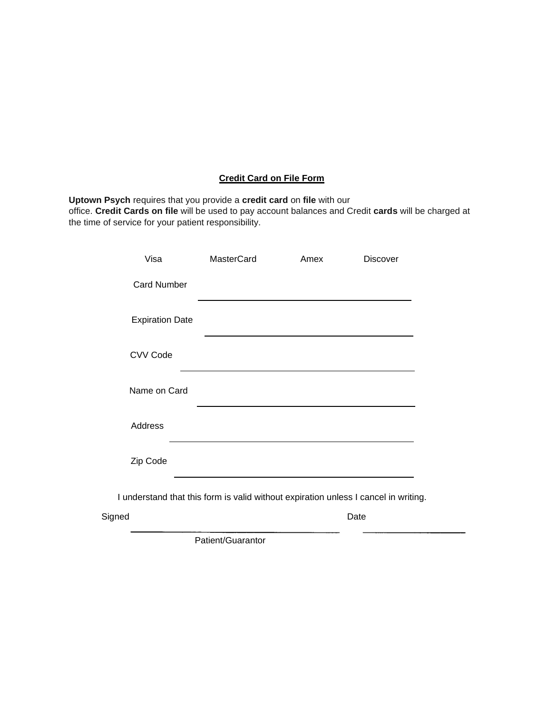## **Credit Card on File Form**

**Uptown Psych** requires that you provide a **credit card** on **file** with our office. **Credit Cards on file** will be used to pay account balances and Credit **cards** will be charged at the time of service for your patient responsibility.

| Visa                                                                                | MasterCard | Amex | <b>Discover</b> |
|-------------------------------------------------------------------------------------|------------|------|-----------------|
| <b>Card Number</b>                                                                  |            |      |                 |
| <b>Expiration Date</b>                                                              |            |      |                 |
| <b>CVV Code</b>                                                                     |            |      |                 |
| Name on Card                                                                        |            |      |                 |
| Address                                                                             |            |      |                 |
| Zip Code                                                                            |            |      |                 |
| I understand that this form is valid without expiration unless I cancel in writing. |            |      |                 |
| Signed                                                                              |            |      | Date            |

Patient/Guarantor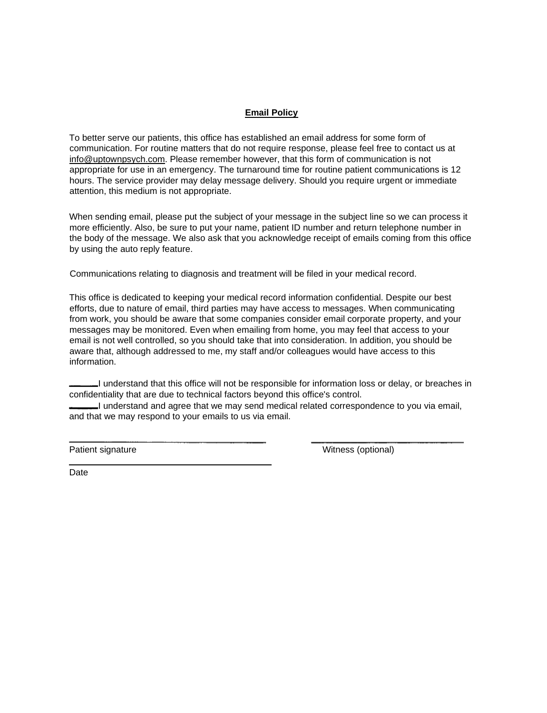#### **Email Policy**

To better serve our patients, this office has established an email address for some form of communication. For routine matters that do not require response, please feel free to contact us at info@uptownpsych.com. Please remember however, that this form of communication is not appropriate for use in an emergency. The turnaround time for routine patient communications is 12 hours. The service provider may delay message delivery. Should you require urgent or immediate attention, this medium is not appropriate.

When sending email, please put the subject of your message in the subject line so we can process it more efficiently. Also, be sure to put your name, patient ID number and return telephone number in the body of the message. We also ask that you acknowledge receipt of emails coming from this office by using the auto reply feature.

Communications relating to diagnosis and treatment will be filed in your medical record.

This office is dedicated to keeping your medical record information confidential. Despite our best efforts, due to nature of email, third parties may have access to messages. When communicating from work, you should be aware that some companies consider email corporate property, and your messages may be monitored. Even when emailing from home, you may feel that access to your email is not well controlled, so you should take that into consideration. In addition, you should be aware that, although addressed to me, my staff and/or colleagues would have access to this information.

I understand that this office will not be responsible for information loss or delay, or breaches in confidentiality that are due to technical factors beyond this office's control.

I understand and agree that we may send medical related correspondence to you via email, and that we may respond to your emails to us via email.

Patient signature **Patient signature Witness** (optional)

Date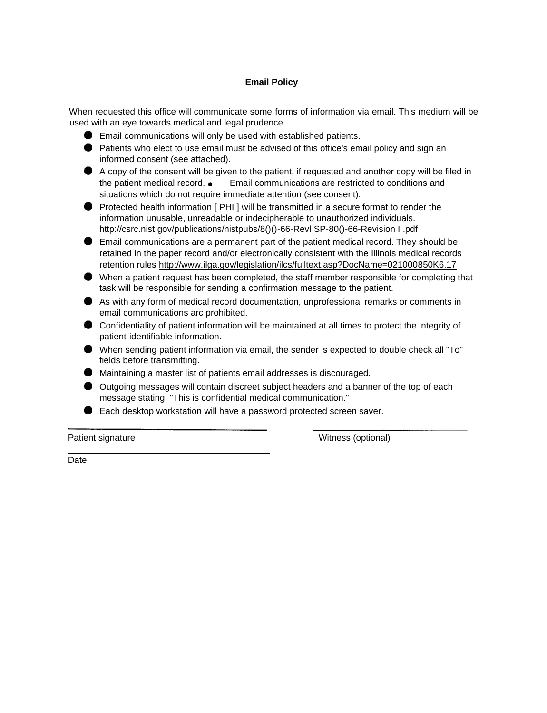## **Email Policy**

When requested this office will communicate some forms of information via email. This medium will be used with an eye towards medical and legal prudence.

- Email communications will only be used with established patients.
- Patients who elect to use email must be advised of this office's email policy and sign an informed consent (see attached).
- A copy of the consent will be given to the patient, if requested and another copy will be filed in the patient medical record.  $\bullet$  Email communications are restricted to conditions and situations which do not require immediate attention (see consent).
- Protected health information [ PHI ] will be transmitted in a secure format to render the information unusable, unreadable or indecipherable to unauthorized individuals. http://csrc.nist.gov/publications/nistpubs/8()()-66-Revl SP-80()-66-Revision I .pdf
- Email communications are a permanent part of the patient medical record. They should be retained in the paper record and/or electronically consistent with the Illinois medical records retention rules http://www.ilga.gov/legislation/ilcs/fulltext.asp?DocName=021000850K6.17
- When a patient request has been completed, the staff member responsible for completing that task will be responsible for sending a confirmation message to the patient.
- As with any form of medical record documentation, unprofessional remarks or comments in email communications arc prohibited.
- Confidentiality of patient information will be maintained at all times to protect the integrity of patient-identifiable information.
- When sending patient information via email, the sender is expected to double check all "To" fields before transmitting.
- Maintaining a master list of patients email addresses is discouraged.
- Outgoing messages will contain discreet subject headers and a banner of the top of each message stating, "This is confidential medical communication."
- Each desktop workstation will have a password protected screen saver.

Patient signature **Patient Signature Witness (optional)** 

Date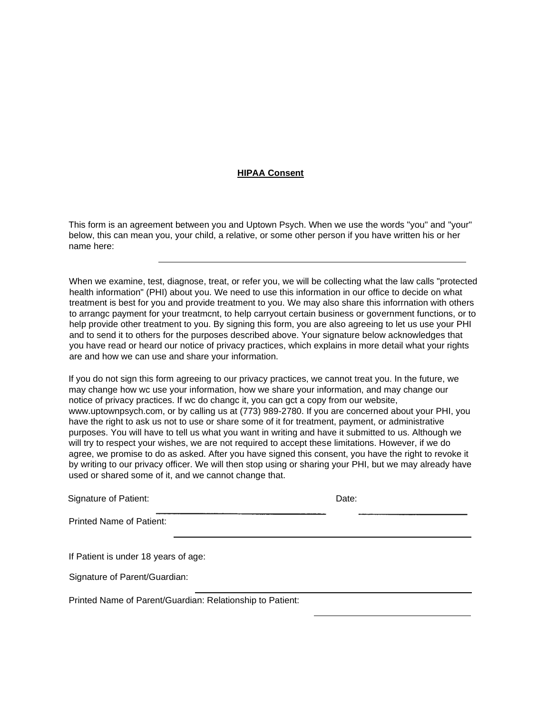#### **HIPAA Consent**

This form is an agreement between you and Uptown Psych. When we use the words "you" and "your" below, this can mean you, your child, a relative, or some other person if you have written his or her name here:

When we examine, test, diagnose, treat, or refer you, we will be collecting what the law calls "protected health information" (PHI) about you. We need to use this information in our office to decide on what treatment is best for you and provide treatment to you. We may also share this inforrnation with others to arrangc payment for your treatmcnt, to help carryout certain business or government functions, or to help provide other treatment to you. By signing this form, you are also agreeing to let us use your PHI and to send it to others for the purposes described above. Your signature below acknowledges that you have read or heard our notice of privacy practices, which explains in more detail what your rights are and how we can use and share your information.

If you do not sign this form agreeing to our privacy practices, we cannot treat you. In the future, we may change how wc use your information, how we share your information, and may change our notice of privacy practices. If wc do changc it, you can gct a copy from our website, www.uptownpsych.com, or by calling us at (773) 989-2780. If you are concerned about your PHI, you have the right to ask us not to use or share some of it for treatment, payment, or administrative purposes. You will have to tell us what you want in writing and have it submitted to us. Although we will try to respect your wishes, we are not required to accept these limitations. However, if we do agree, we promise to do as asked. After you have signed this consent, you have the right to revoke it by writing to our privacy officer. We will then stop using or sharing your PHI, but we may already have used or shared some of it, and we cannot change that.

| Signature of Patient:                                     | Date: |
|-----------------------------------------------------------|-------|
| <b>Printed Name of Patient:</b>                           |       |
| If Patient is under 18 years of age:                      |       |
| Signature of Parent/Guardian:                             |       |
| Printed Name of Parent/Guardian: Relationship to Patient: |       |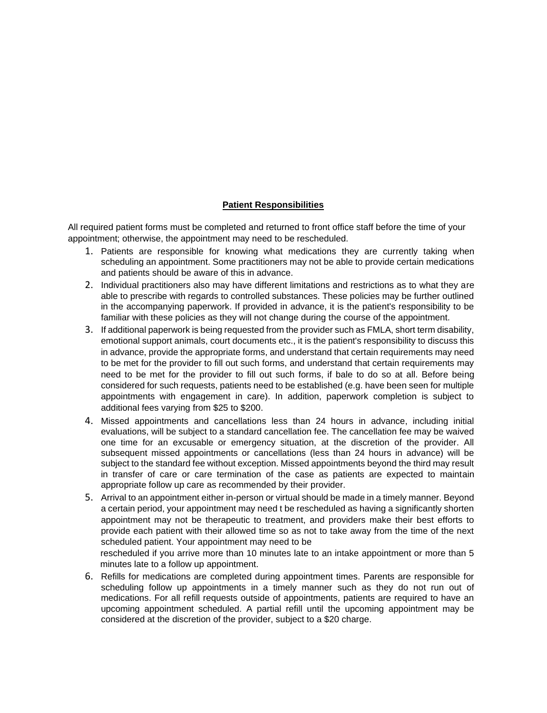#### **Patient Responsibilities**

All required patient forms must be completed and returned to front office staff before the time of your appointment; otherwise, the appointment may need to be rescheduled.

- 1. Patients are responsible for knowing what medications they are currently taking when scheduling an appointment. Some practitioners may not be able to provide certain medications and patients should be aware of this in advance.
- 2. Individual practitioners also may have different limitations and restrictions as to what they are able to prescribe with regards to controlled substances. These policies may be further outlined in the accompanying paperwork. If provided in advance, it is the patient's responsibility to be familiar with these policies as they will not change during the course of the appointment.
- 3. If additional paperwork is being requested from the provider such as FMLA, short term disability, emotional support animals, court documents etc., it is the patient's responsibility to discuss this in advance, provide the appropriate forms, and understand that certain requirements may need to be met for the provider to fill out such forms, and understand that certain requirements may need to be met for the provider to fill out such forms, if bale to do so at all. Before being considered for such requests, patients need to be established (e.g. have been seen for multiple appointments with engagement in care). In addition, paperwork completion is subject to additional fees varying from \$25 to \$200.
- 4. Missed appointments and cancellations less than 24 hours in advance, including initial evaluations, will be subject to a standard cancellation fee. The cancellation fee may be waived one time for an excusable or emergency situation, at the discretion of the provider. All subsequent missed appointments or cancellations (less than 24 hours in advance) will be subject to the standard fee without exception. Missed appointments beyond the third may result in transfer of care or care termination of the case as patients are expected to maintain appropriate follow up care as recommended by their provider.
- 5. Arrival to an appointment either in-person or virtual should be made in a timely manner. Beyond a certain period, your appointment may need t be rescheduled as having a significantly shorten appointment may not be therapeutic to treatment, and providers make their best efforts to provide each patient with their allowed time so as not to take away from the time of the next scheduled patient. Your appointment may need to be

rescheduled if you arrive more than 10 minutes late to an intake appointment or more than 5 minutes late to a follow up appointment.

6. Refills for medications are completed during appointment times. Parents are responsible for scheduling follow up appointments in a timely manner such as they do not run out of medications. For all refill requests outside of appointments, patients are required to have an upcoming appointment scheduled. A partial refill until the upcoming appointment may be considered at the discretion of the provider, subject to a \$20 charge.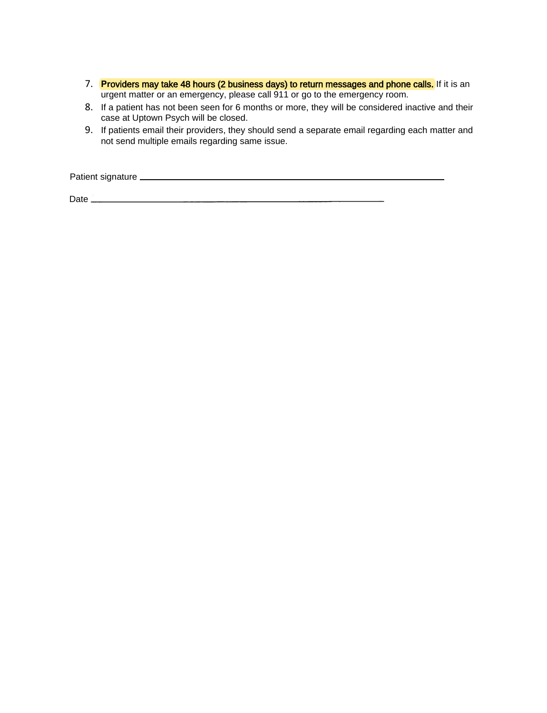- 7. **Providers may take 48 hours (2 business days) to return messages and phone calls. If it is an** urgent matter or an emergency, please call 911 or go to the emergency room.
- 8. If a patient has not been seen for 6 months or more, they will be considered inactive and their case at Uptown Psych will be closed.
- 9. If patients email their providers, they should send a separate email regarding each matter and not send multiple emails regarding same issue.

Patient signature

Date <u>the contract of the contract of the contract of the contract of the contract of the contract of the contract of the contract of the contract of the contract of the contract of the contract of the contract of the cont</u>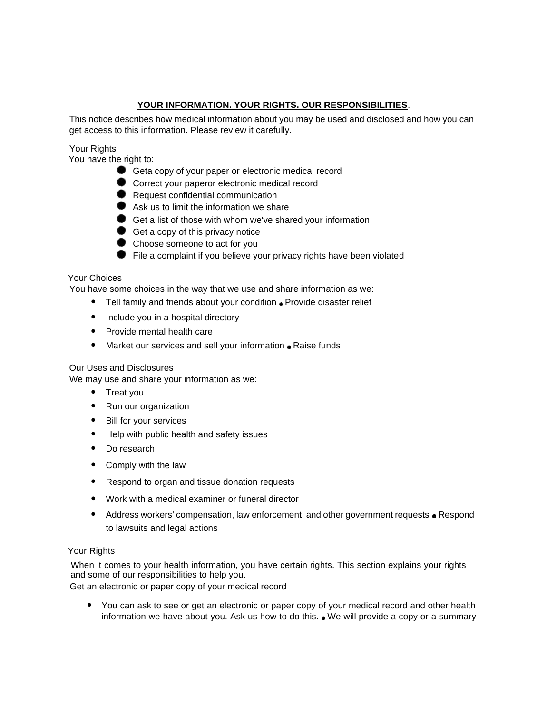## **YOUR INFORMATION. YOUR RIGHTS. OUR RESPONSIBILITIES**.

This notice describes how medical information about you may be used and disclosed and how you can get access to this information. Please review it carefully.

Your Rights

You have the right to:

- Geta copy of your paper or electronic medical record
- Correct your paperor electronic medical record
- **•** Request confidential communication
- Ask us to limit the information we share
- Get a list of those with whom we've shared your information
- Get a copy of this privacy notice
- **Choose someone to act for you**
- File a complaint if you believe your privacy rights have been violated

#### Your Choices

You have some choices in the way that we use and share information as we:

- Tell family and friends about your condition . Provide disaster relief
- Include you in a hospital directory
- Provide mental health care
- Market our services and sell your information Raise funds

#### Our Uses and Disclosures

We may use and share your information as we:

- Treat you
- Run our organization
- **Bill for your services**
- Help with public health and safety issues
- Do research
- Comply with the law
- Respond to organ and tissue donation requests
- Work with a medical examiner or funeral director
- Address workers' compensation, law enforcement, and other government requests . Respond to lawsuits and legal actions

#### Your Rights

When it comes to your health information, you have certain rights. This section explains your rights and some of our responsibilities to help you.

Get an electronic or paper copy of your medical record

• You can ask to see or get an electronic or paper copy of your medical record and other health information we have about you. Ask us how to do this. . We will provide a copy or a summary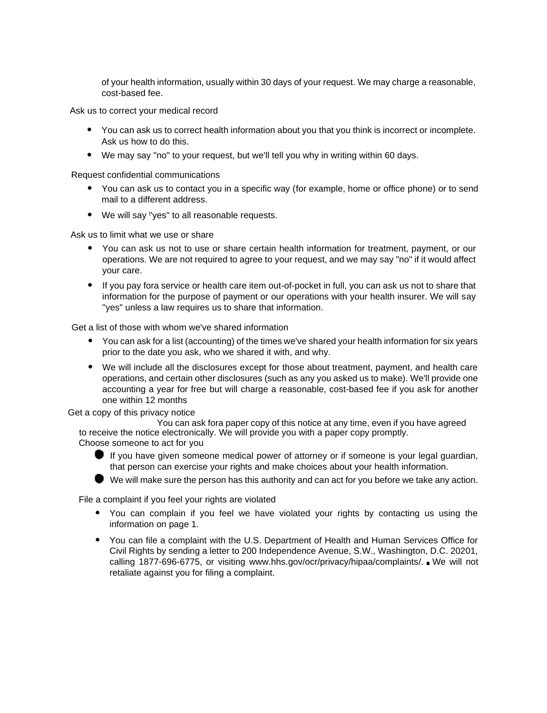of your health information, usually within 30 days of your request. We may charge a reasonable, cost-based fee.

Ask us to correct your medical record

- You can ask us to correct health information about you that you think is incorrect or incomplete. Ask us how to do this.
- We may say "no" to your request, but we'll tell you why in writing within 60 days.

Request confidential communications

- You can ask us to contact you in a specific way (for example, home or office phone) or to send mail to a different address.
- We will say <sup>t</sup>'yes" to all reasonable requests.

Ask us to limit what we use or share

- You can ask us not to use or share certain health information for treatment, payment, or our operations. We are not required to agree to your request, and we may say "no" if it would affect your care.
- If you pay fora service or health care item out-of-pocket in full, you can ask us not to share that information for the purpose of payment or our operations with your health insurer. We will say "yes" unless a law requires us to share that information.

Get a list of those with whom we've shared information

- You can ask for a list (accounting) of the times we've shared your health information for six years prior to the date you ask, who we shared it with, and why.
- We will include all the disclosures except for those about treatment, payment, and health care operations, and certain other disclosures (such as any you asked us to make). We'll provide one accounting a year for free but will charge a reasonable, cost-based fee if you ask for another one within 12 months

#### Get a copy of this privacy notice

You can ask fora paper copy of this notice at any time, even if you have agreed to receive the notice electronically. We will provide you with a paper copy promptly. Choose someone to act for you

- If you have given someone medical power of attorney or if someone is your legal guardian, that person can exercise your rights and make choices about your health information.
- We will make sure the person has this authority and can act for you before we take any action.

File a complaint if you feel your rights are violated

- You can complain if you feel we have violated your rights by contacting us using the information on page 1.
- You can file a complaint with the U.S. Department of Health and Human Services Office for Civil Rights by sending a letter to 200 Independence Avenue, S.W., Washington, D.C. 20201, calling 1877-696-6775, or visiting www.hhs.gov/ocr/privacy/hipaa/complaints/. . We will not retaliate against you for filing a complaint.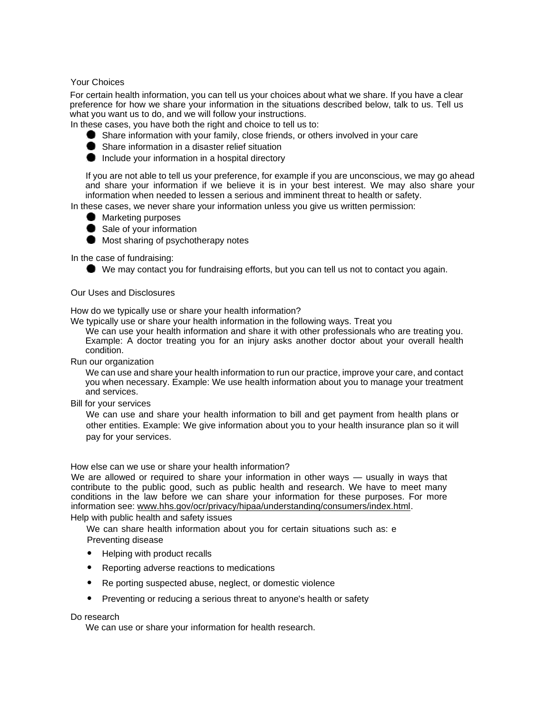Your Choices

For certain health information, you can tell us your choices about what we share. If you have a clear preference for how we share your information in the situations described below, talk to us. Tell us what you want us to do, and we will follow your instructions.

In these cases, you have both the right and choice to tell us to:



Share information with your family, close friends, or others involved in your care

Share information in a disaster relief situation

**Include your information in a hospital directory** 

If you are not able to tell us your preference, for example if you are unconscious, we may go ahead and share your information if we believe it is in your best interest. We may also share your information when needed to lessen a serious and imminent threat to health or safety.

In these cases, we never share your information unless you give us written permission:

- **Marketing purposes**
- Sale of your information
- **Most sharing of psychotherapy notes**

In the case of fundraising:

We may contact you for fundraising efforts, but you can tell us not to contact you again.

#### Our Uses and Disclosures

How do we typically use or share your health information?

We typically use or share your health information in the following ways. Treat you

We can use your health information and share it with other professionals who are treating you. Example: A doctor treating you for an injury asks another doctor about your overall health condition.

Run our organization

We can use and share your health information to run our practice, improve your care, and contact you when necessary. Example: We use health information about you to manage your treatment and services.

Bill for your services

We can use and share your health information to bill and get payment from health plans or other entities. Example: We give information about you to your health insurance plan so it will pay for your services.

How else can we use or share your health information?

We are allowed or required to share your information in other ways — usually in ways that contribute to the public good, such as public health and research. We have to meet many conditions in the law before we can share your information for these purposes. For more information see: www.hhs.gov/ocr/privacy/hipaa/understandinq/consumers/index.html.

Help with public health and safety issues

We can share health information about you for certain situations such as: e Preventing disease

- Helping with product recalls
- Reporting adverse reactions to medications
- Re porting suspected abuse, neglect, or domestic violence
- Preventing or reducing a serious threat to anyone's health or safety

#### Do research

We can use or share your information for health research.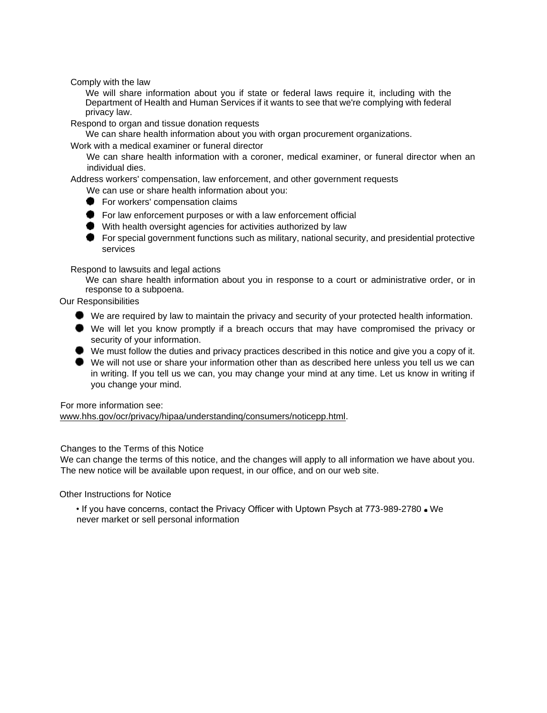Comply with the law

We will share information about you if state or federal laws require it, including with the Department of Health and Human Services if it wants to see that we're complying with federal privacy law.

Respond to organ and tissue donation requests

We can share health information about you with organ procurement organizations.

Work with a medical examiner or funeral director

We can share health information with a coroner, medical examiner, or funeral director when an individual dies.

Address workers' compensation, law enforcement, and other government requests

- We can use or share health information about you:
- **•** For workers' compensation claims
- For law enforcement purposes or with a law enforcement official
- With health oversight agencies for activities authorized by law

For special government functions such as military, national security, and presidential protective services

Respond to lawsuits and legal actions

We can share health information about you in response to a court or administrative order, or in response to a subpoena.

Our Responsibilities

- We are required by law to maintain the privacy and security of your protected health information.
- We will let you know promptly if a breach occurs that may have compromised the privacy or security of your information.
- We must follow the duties and privacy practices described in this notice and give you a copy of it.
- We will not use or share your information other than as described here unless you tell us we can in writing. If you tell us we can, you may change your mind at any time. Let us know in writing if you change your mind.

For more information see:

www.hhs.gov/ocr/privacy/hipaa/understandinq/consumers/noticepp.html.

Changes to the Terms of this Notice

We can change the terms of this notice, and the changes will apply to all information we have about you. The new notice will be available upon request, in our office, and on our web site.

Other Instructions for Notice

• If you have concerns, contact the Privacy Officer with Uptown Psych at 773-989-2780 • We never market or sell personal information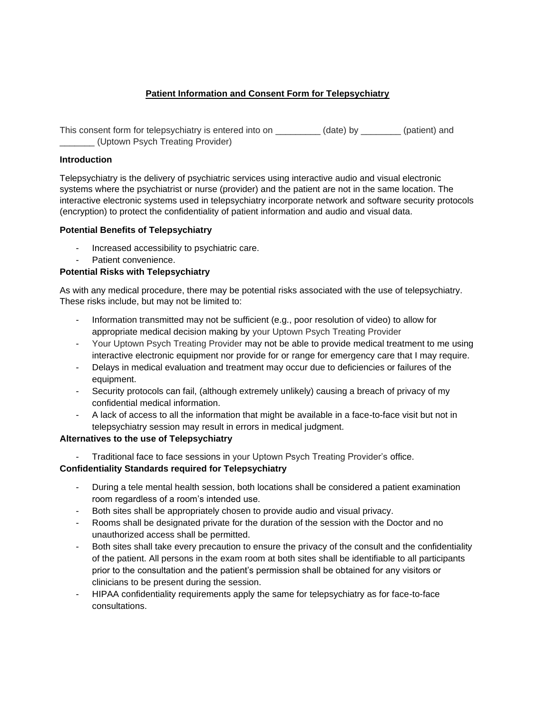## **Patient Information and Consent Form for Telepsychiatry**

| This consent form for telepsychiatry is entered into on | (date) by | (patient) and |
|---------------------------------------------------------|-----------|---------------|
| (Uptown Psych Treating Provider)                        |           |               |

#### **Introduction**

Telepsychiatry is the delivery of psychiatric services using interactive audio and visual electronic systems where the psychiatrist or nurse (provider) and the patient are not in the same location. The interactive electronic systems used in telepsychiatry incorporate network and software security protocols (encryption) to protect the confidentiality of patient information and audio and visual data.

#### **Potential Benefits of Telepsychiatry**

- Increased accessibility to psychiatric care.
- Patient convenience.

#### **Potential Risks with Telepsychiatry**

As with any medical procedure, there may be potential risks associated with the use of telepsychiatry. These risks include, but may not be limited to:

- Information transmitted may not be sufficient (e.g., poor resolution of video) to allow for appropriate medical decision making by your Uptown Psych Treating Provider
- Your Uptown Psych Treating Provider may not be able to provide medical treatment to me using interactive electronic equipment nor provide for or range for emergency care that I may require.
- Delays in medical evaluation and treatment may occur due to deficiencies or failures of the equipment.
- Security protocols can fail, (although extremely unlikely) causing a breach of privacy of my confidential medical information.
- A lack of access to all the information that might be available in a face-to-face visit but not in telepsychiatry session may result in errors in medical judgment.

#### **Alternatives to the use of Telepsychiatry**

- Traditional face to face sessions in your Uptown Psych Treating Provider's office.

#### **Confidentiality Standards required for Telepsychiatry**

- During a tele mental health session, both locations shall be considered a patient examination room regardless of a room's intended use.
- Both sites shall be appropriately chosen to provide audio and visual privacy.
- Rooms shall be designated private for the duration of the session with the Doctor and no unauthorized access shall be permitted.
- Both sites shall take every precaution to ensure the privacy of the consult and the confidentiality of the patient. All persons in the exam room at both sites shall be identifiable to all participants prior to the consultation and the patient's permission shall be obtained for any visitors or clinicians to be present during the session.
- HIPAA confidentiality requirements apply the same for telepsychiatry as for face-to-face consultations.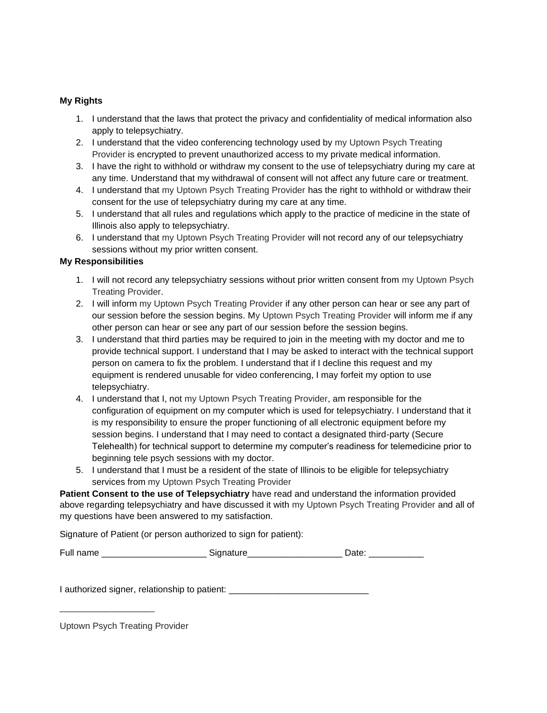#### **My Rights**

- 1. I understand that the laws that protect the privacy and confidentiality of medical information also apply to telepsychiatry.
- 2. I understand that the video conferencing technology used by my Uptown Psych Treating Provider is encrypted to prevent unauthorized access to my private medical information.
- 3. I have the right to withhold or withdraw my consent to the use of telepsychiatry during my care at any time. Understand that my withdrawal of consent will not affect any future care or treatment.
- 4. I understand that my Uptown Psych Treating Provider has the right to withhold or withdraw their consent for the use of telepsychiatry during my care at any time.
- 5. I understand that all rules and regulations which apply to the practice of medicine in the state of Illinois also apply to telepsychiatry.
- 6. I understand that my Uptown Psych Treating Provider will not record any of our telepsychiatry sessions without my prior written consent.

#### **My Responsibilities**

- 1. I will not record any telepsychiatry sessions without prior written consent from my Uptown Psych Treating Provider.
- 2. I will inform my Uptown Psych Treating Provider if any other person can hear or see any part of our session before the session begins. My Uptown Psych Treating Provider will inform me if any other person can hear or see any part of our session before the session begins.
- 3. I understand that third parties may be required to join in the meeting with my doctor and me to provide technical support. I understand that I may be asked to interact with the technical support person on camera to fix the problem. I understand that if I decline this request and my equipment is rendered unusable for video conferencing, I may forfeit my option to use telepsychiatry.
- 4. I understand that I, not my Uptown Psych Treating Provider, am responsible for the configuration of equipment on my computer which is used for telepsychiatry. I understand that it is my responsibility to ensure the proper functioning of all electronic equipment before my session begins. I understand that I may need to contact a designated third-party (Secure Telehealth) for technical support to determine my computer's readiness for telemedicine prior to beginning tele psych sessions with my doctor.
- 5. I understand that I must be a resident of the state of Illinois to be eligible for telepsychiatry services from my Uptown Psych Treating Provider

**Patient Consent to the use of Telepsychiatry** have read and understand the information provided above regarding telepsychiatry and have discussed it with my Uptown Psych Treating Provider and all of my questions have been answered to my satisfaction.

Signature of Patient (or person authorized to sign for patient):

| $\overline{\phantom{0}}$<br>Full name | ----- | )ate |
|---------------------------------------|-------|------|
|---------------------------------------|-------|------|

I authorized signer, relationship to patient:

Uptown Psych Treating Provider

\_\_\_\_\_\_\_\_\_\_\_\_\_\_\_\_\_\_\_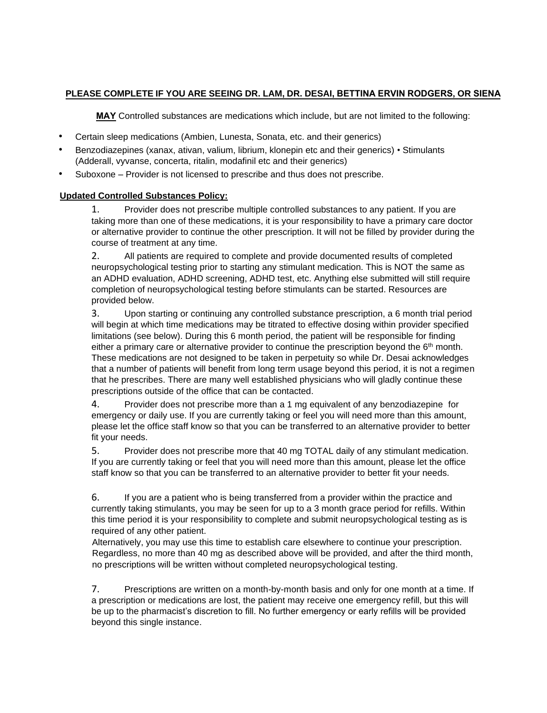## **PLEASE COMPLETE IF YOU ARE SEEING DR. LAM, DR. DESAI, BETTINA ERVIN RODGERS, OR SIENA**

**MAY** Controlled substances are medications which include, but are not limited to the following:

- Certain sleep medications (Ambien, Lunesta, Sonata, etc. and their generics)
- Benzodiazepines (xanax, ativan, valium, librium, klonepin etc and their generics) Stimulants (Adderall, vyvanse, concerta, ritalin, modafinil etc and their generics)
- Suboxone Provider is not licensed to prescribe and thus does not prescribe.

## **Updated Controlled Substances Policy:**

1. Provider does not prescribe multiple controlled substances to any patient. If you are taking more than one of these medications, it is your responsibility to have a primary care doctor or alternative provider to continue the other prescription. It will not be filled by provider during the course of treatment at any time.

2. All patients are required to complete and provide documented results of completed neuropsychological testing prior to starting any stimulant medication. This is NOT the same as an ADHD evaluation, ADHD screening, ADHD test, etc. Anything else submitted will still require completion of neuropsychological testing before stimulants can be started. Resources are provided below.

3. Upon starting or continuing any controlled substance prescription, a 6 month trial period will begin at which time medications may be titrated to effective dosing within provider specified limitations (see below). During this 6 month period, the patient will be responsible for finding either a primary care or alternative provider to continue the prescription beyond the  $6<sup>th</sup>$  month. These medications are not designed to be taken in perpetuity so while Dr. Desai acknowledges that a number of patients will benefit from long term usage beyond this period, it is not a regimen that he prescribes. There are many well established physicians who will gladly continue these prescriptions outside of the office that can be contacted.

4. Provider does not prescribe more than a 1 mg equivalent of any benzodiazepine for emergency or daily use. If you are currently taking or feel you will need more than this amount, please let the office staff know so that you can be transferred to an alternative provider to better fit your needs.

5. Provider does not prescribe more that 40 mg TOTAL daily of any stimulant medication. If you are currently taking or feel that you will need more than this amount, please let the office staff know so that you can be transferred to an alternative provider to better fit your needs.

6. If you are a patient who is being transferred from a provider within the practice and currently taking stimulants, you may be seen for up to a 3 month grace period for refills. Within this time period it is your responsibility to complete and submit neuropsychological testing as is required of any other patient.

Alternatively, you may use this time to establish care elsewhere to continue your prescription. Regardless, no more than 40 mg as described above will be provided, and after the third month, no prescriptions will be written without completed neuropsychological testing.

7. Prescriptions are written on a month-by-month basis and only for one month at a time. If a prescription or medications are lost, the patient may receive one emergency refill, but this will be up to the pharmacist's discretion to fill. No further emergency or early refills will be provided beyond this single instance.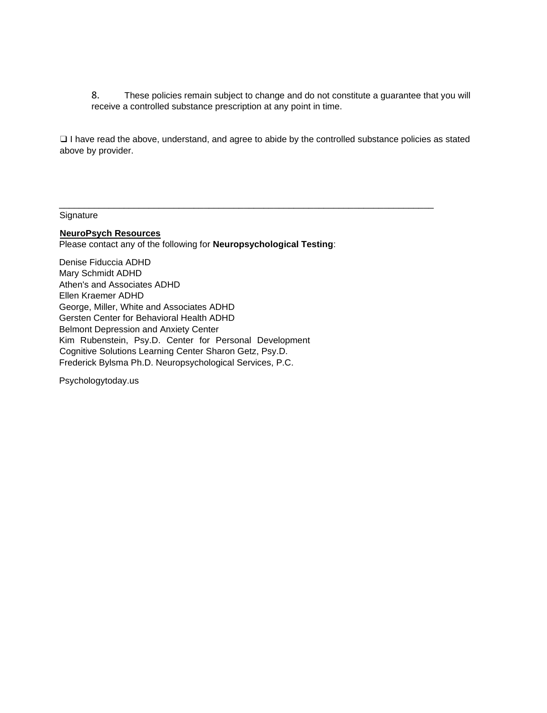8. These policies remain subject to change and do not constitute a guarantee that you will receive a controlled substance prescription at any point in time.

❑ I have read the above, understand, and agree to abide by the controlled substance policies as stated above by provider.

\_\_\_\_\_\_\_\_\_\_\_\_\_\_\_\_\_\_\_\_\_\_\_\_\_\_\_\_\_\_\_\_\_\_\_\_\_\_\_\_\_\_\_\_\_\_\_\_\_\_\_\_\_\_\_\_\_\_\_\_\_\_\_\_\_\_\_\_\_\_\_\_\_\_\_

#### **Signature**

#### **NeuroPsych Resources**

Please contact any of the following for **Neuropsychological Testing**:

Denise Fiduccia ADHD Mary Schmidt ADHD Athen's and Associates ADHD Ellen Kraemer ADHD George, Miller, White and Associates ADHD Gersten Center for Behavioral Health ADHD Belmont Depression and Anxiety Center Kim Rubenstein, Psy.D. Center for Personal Development Cognitive Solutions Learning Center Sharon Getz, Psy.D. Frederick Bylsma Ph.D. Neuropsychological Services, P.C.

Psychologytoday.us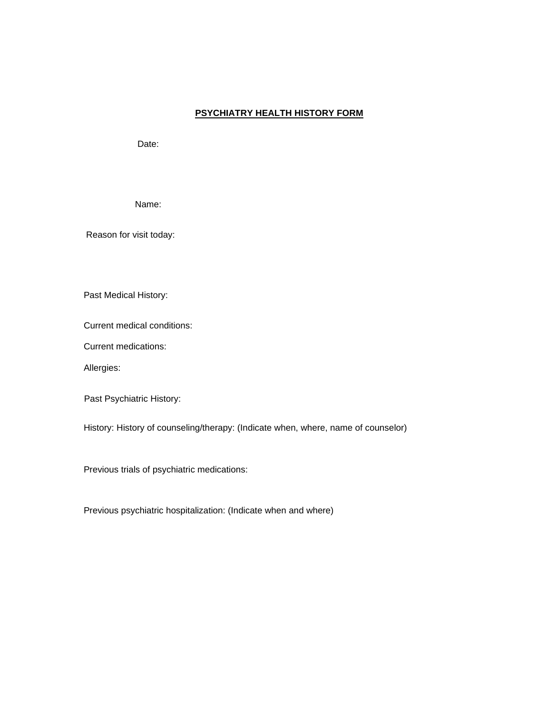#### **PSYCHIATRY HEALTH HISTORY FORM**

Date:

Name:

Reason for visit today:

Past Medical History:

Current medical conditions:

Current medications:

Allergies:

Past Psychiatric History:

History: History of counseling/therapy: (Indicate when, where, name of counselor)

Previous trials of psychiatric medications:

Previous psychiatric hospitalization: (Indicate when and where)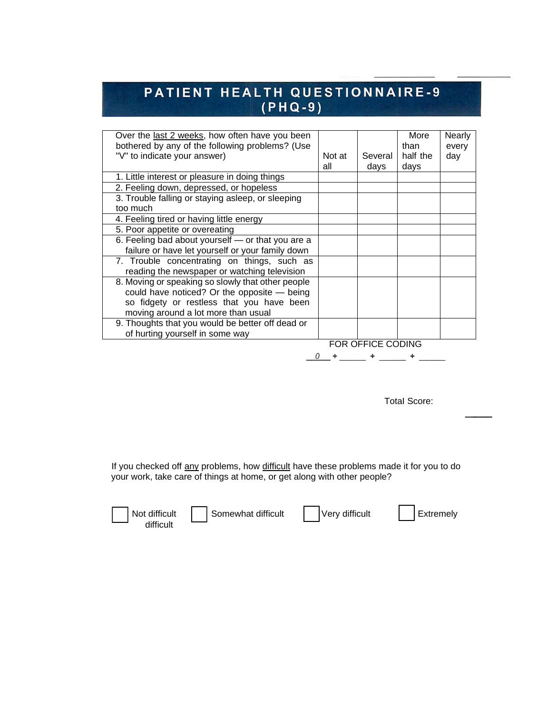# PATIENT HEALTH QUESTIONNAIRE-9  $(PHQ-9)$

| Over the last 2 weeks, how often have you been<br>bothered by any of the following problems? (Use<br>"V" to indicate your answer) | Not at | Several           | More<br>than<br>half the | <b>Nearly</b><br>every<br>day |
|-----------------------------------------------------------------------------------------------------------------------------------|--------|-------------------|--------------------------|-------------------------------|
|                                                                                                                                   | all    | days              | days                     |                               |
| 1. Little interest or pleasure in doing things                                                                                    |        |                   |                          |                               |
| 2. Feeling down, depressed, or hopeless                                                                                           |        |                   |                          |                               |
| 3. Trouble falling or staying asleep, or sleeping                                                                                 |        |                   |                          |                               |
| too much                                                                                                                          |        |                   |                          |                               |
| 4. Feeling tired or having little energy                                                                                          |        |                   |                          |                               |
| 5. Poor appetite or overeating                                                                                                    |        |                   |                          |                               |
| 6. Feeling bad about yourself — or that you are a                                                                                 |        |                   |                          |                               |
| failure or have let yourself or your family down                                                                                  |        |                   |                          |                               |
| 7. Trouble concentrating on things, such as                                                                                       |        |                   |                          |                               |
| reading the newspaper or watching television                                                                                      |        |                   |                          |                               |
| 8. Moving or speaking so slowly that other people                                                                                 |        |                   |                          |                               |
| could have noticed? Or the opposite — being                                                                                       |        |                   |                          |                               |
| so fidgety or restless that you have been                                                                                         |        |                   |                          |                               |
| moving around a lot more than usual                                                                                               |        |                   |                          |                               |
| 9. Thoughts that you would be better off dead or                                                                                  |        |                   |                          |                               |
| of hurting yourself in some way                                                                                                   |        |                   |                          |                               |
|                                                                                                                                   |        | FOR OFFICE CODING |                          |                               |

 $\frac{0}{10}$  + \_\_\_\_\_\_ + \_\_\_\_\_ + \_\_\_\_\_\_

TotaI Score:

If you checked off any problems, how difficult have these problems made it for you to do your work, take care of things at home, or get along with other people?

| Not difficult Somewhat difficult<br>difficult |  | Very difficult | $\vert$ Extremely |
|-----------------------------------------------|--|----------------|-------------------|
|-----------------------------------------------|--|----------------|-------------------|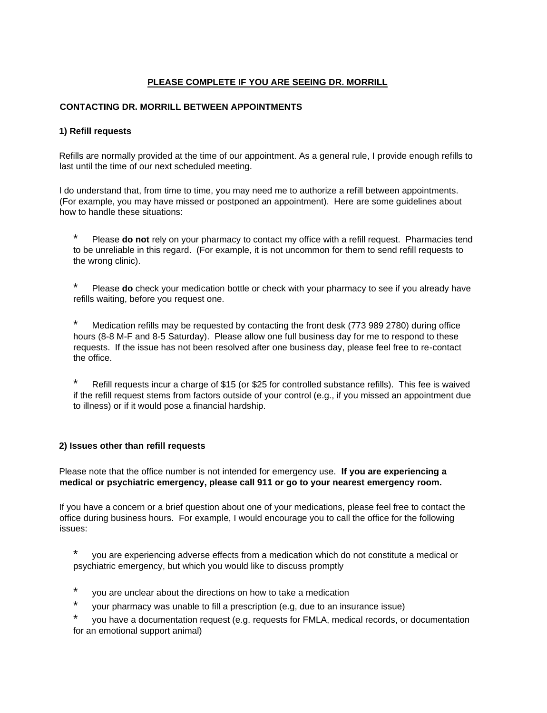## **PLEASE COMPLETE IF YOU ARE SEEING DR. MORRILL**

#### **CONTACTING DR. MORRILL BETWEEN APPOINTMENTS**

#### **1) Refill requests**

Refills are normally provided at the time of our appointment. As a general rule, I provide enough refills to last until the time of our next scheduled meeting.

I do understand that, from time to time, you may need me to authorize a refill between appointments. (For example, you may have missed or postponed an appointment). Here are some guidelines about how to handle these situations:

- \* Please **do not** rely on your pharmacy to contact my office with a refill request. Pharmacies tend to be unreliable in this regard. (For example, it is not uncommon for them to send refill requests to the wrong clinic).
- Please **do** check your medication bottle or check with your pharmacy to see if you already have refills waiting, before you request one.
- Medication refills may be requested by contacting the front desk (773 989 2780) during office hours (8-8 M-F and 8-5 Saturday). Please allow one full business day for me to respond to these requests. If the issue has not been resolved after one business day, please feel free to re-contact the office.
- Refill requests incur a charge of \$15 (or \$25 for controlled substance refills). This fee is waived if the refill request stems from factors outside of your control (e.g., if you missed an appointment due to illness) or if it would pose a financial hardship.

#### **2) Issues other than refill requests**

#### Please note that the office number is not intended for emergency use. **If you are experiencing a medical or psychiatric emergency, please call 911 or go to your nearest emergency room.**

If you have a concern or a brief question about one of your medications, please feel free to contact the office during business hours. For example, I would encourage you to call the office for the following issues:

- you are experiencing adverse effects from a medication which do not constitute a medical or psychiatric emergency, but which you would like to discuss promptly
- you are unclear about the directions on how to take a medication
- your pharmacy was unable to fill a prescription (e.g, due to an insurance issue)
- you have a documentation request (e.g. requests for FMLA, medical records, or documentation for an emotional support animal)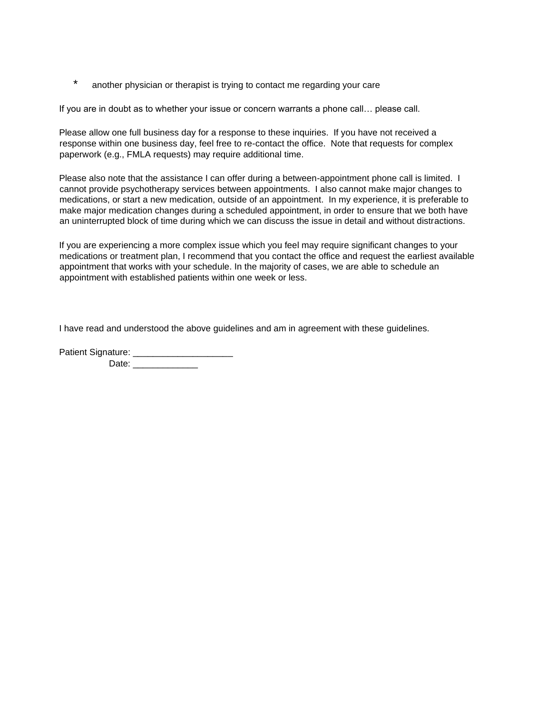\* another physician or therapist is trying to contact me regarding your care

If you are in doubt as to whether your issue or concern warrants a phone call… please call.

Please allow one full business day for a response to these inquiries. If you have not received a response within one business day, feel free to re-contact the office. Note that requests for complex paperwork (e.g., FMLA requests) may require additional time.

Please also note that the assistance I can offer during a between-appointment phone call is limited. I cannot provide psychotherapy services between appointments. I also cannot make major changes to medications, or start a new medication, outside of an appointment. In my experience, it is preferable to make major medication changes during a scheduled appointment, in order to ensure that we both have an uninterrupted block of time during which we can discuss the issue in detail and without distractions.

If you are experiencing a more complex issue which you feel may require significant changes to your medications or treatment plan, I recommend that you contact the office and request the earliest available appointment that works with your schedule. In the majority of cases, we are able to schedule an appointment with established patients within one week or less.

I have read and understood the above guidelines and am in agreement with these guidelines.

Patient Signature: \_\_\_\_\_\_\_\_\_\_\_\_\_\_\_\_\_\_\_\_ Date:  $\Box$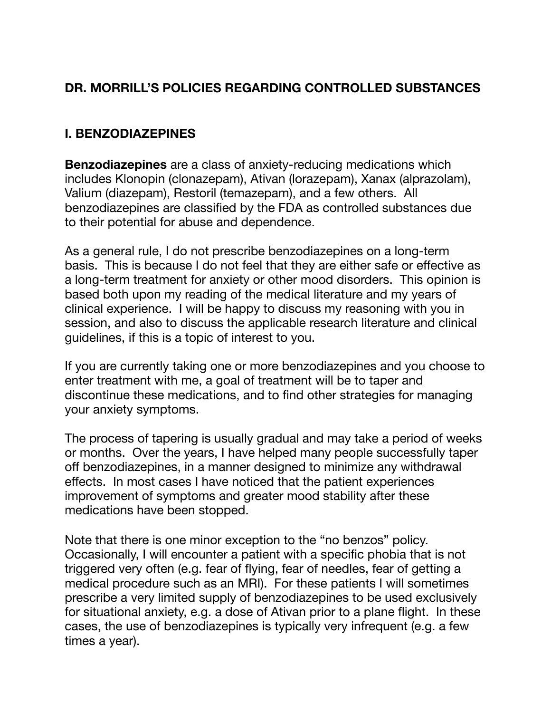# **DR. MORRILL'S POLICIES REGARDING CONTROLLED SUBSTANCES**

# **I. BENZODIAZEPINES**

**Benzodiazepines** are a class of anxiety-reducing medications which includes Klonopin (clonazepam), Ativan (lorazepam), Xanax (alprazolam), Valium (diazepam), Restoril (temazepam), and a few others. All benzodiazepines are classified by the FDA as controlled substances due to their potential for abuse and dependence.

As a general rule, I do not prescribe benzodiazepines on a long-term basis. This is because I do not feel that they are either safe or effective as a long-term treatment for anxiety or other mood disorders. This opinion is based both upon my reading of the medical literature and my years of clinical experience. I will be happy to discuss my reasoning with you in session, and also to discuss the applicable research literature and clinical guidelines, if this is a topic of interest to you.

If you are currently taking one or more benzodiazepines and you choose to enter treatment with me, a goal of treatment will be to taper and discontinue these medications, and to find other strategies for managing your anxiety symptoms.

The process of tapering is usually gradual and may take a period of weeks or months. Over the years, I have helped many people successfully taper off benzodiazepines, in a manner designed to minimize any withdrawal effects. In most cases I have noticed that the patient experiences improvement of symptoms and greater mood stability after these medications have been stopped.

Note that there is one minor exception to the "no benzos" policy. Occasionally, I will encounter a patient with a specific phobia that is not triggered very often (e.g. fear of flying, fear of needles, fear of getting a medical procedure such as an MRI). For these patients I will sometimes prescribe a very limited supply of benzodiazepines to be used exclusively for situational anxiety, e.g. a dose of Ativan prior to a plane flight. In these cases, the use of benzodiazepines is typically very infrequent (e.g. a few times a year).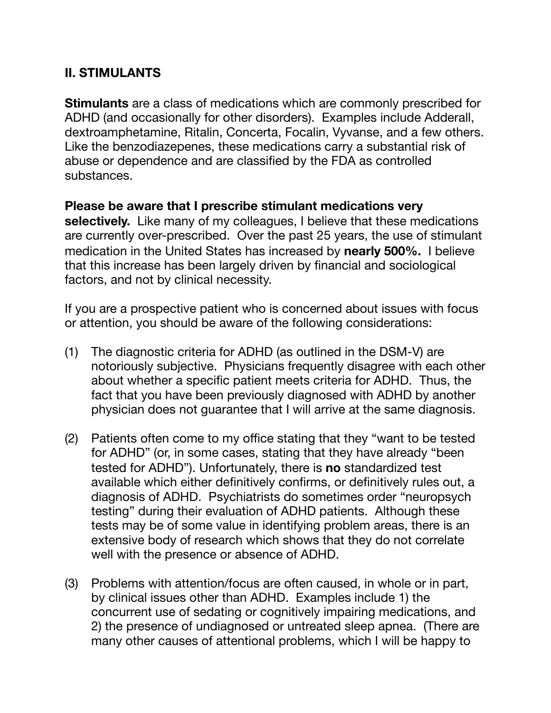## **II. STIMULANTS**

**Stimulants** are a class of medications which are commonly prescribed for ADHD (and occasionally for other disorders). Examples include Adderall, dextroamphetamine, Ritalin, Concerta, Focalin, Vyvanse, and a few others. Like the benzodiazepenes, these medications carry a substantial risk of abuse or dependence and are classified by the FDA as controlled substances.

## **Please be aware that I prescribe stimulant medications very**

**selectively.** Like many of my colleagues, I believe that these medications are currently over-prescribed. Over the past 25 years, the use of stimulant medication in the United States has increased by **nearly 500%.** I believe that this increase has been largely driven by financial and sociological factors, and not by clinical necessity.

If you are a prospective patient who is concerned about issues with focus or attention, you should be aware of the following considerations:

- (1) The diagnostic criteria for ADHD (as outlined in the DSM-V) are notoriously subjective. Physicians frequently disagree with each other about whether a specific patient meets criteria for ADHD. Thus, the fact that you have been previously diagnosed with ADHD by another physician does not guarantee that I will arrive at the same diagnosis.
- (2) Patients often come to my office stating that they "want to be tested for ADHD" (or, in some cases, stating that they have already "been tested for ADHD"). Unfortunately, there is **no** standardized test available which either definitively confirms, or definitively rules out, a diagnosis of ADHD. Psychiatrists do sometimes order "neuropsych testing" during their evaluation of ADHD patients. Although these tests may be of some value in identifying problem areas, there is an extensive body of research which shows that they do not correlate well with the presence or absence of ADHD.
- (3) Problems with attention/focus are often caused, in whole or in part, by clinical issues other than ADHD. Examples include 1) the concurrent use of sedating or cognitively impairing medications, and 2) the presence of undiagnosed or untreated sleep apnea. (There are many other causes of attentional problems, which I will be happy to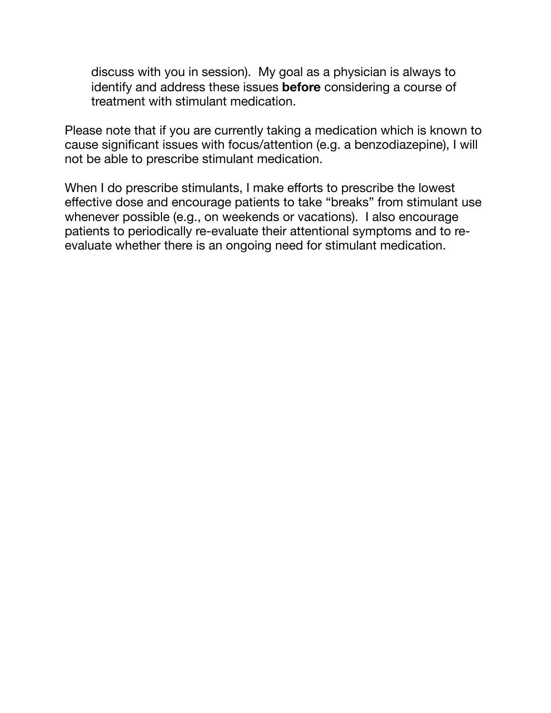discuss with you in session). My goal as a physician is always to identify and address these issues **before** considering a course of treatment with stimulant medication.

Please note that if you are currently taking a medication which is known to cause significant issues with focus/attention (e.g. a benzodiazepine), I will not be able to prescribe stimulant medication.

When I do prescribe stimulants, I make efforts to prescribe the lowest effective dose and encourage patients to take "breaks" from stimulant use whenever possible (e.g., on weekends or vacations). I also encourage patients to periodically re-evaluate their attentional symptoms and to reevaluate whether there is an ongoing need for stimulant medication.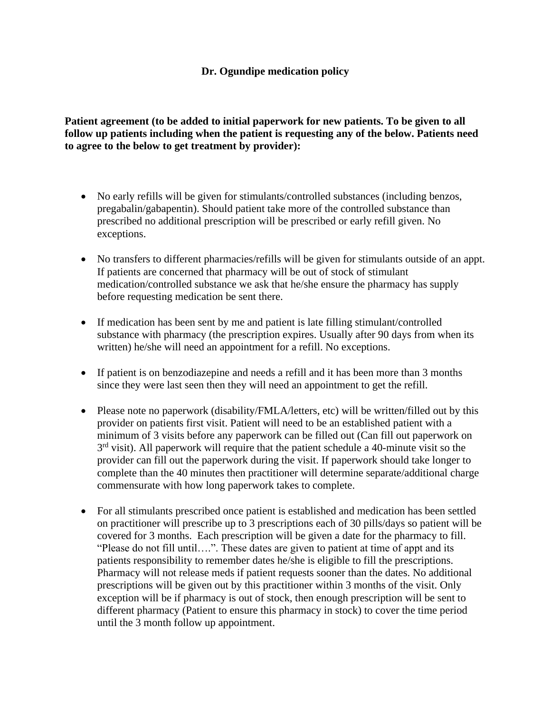## **Dr. Ogundipe medication policy**

**Patient agreement (to be added to initial paperwork for new patients. To be given to all follow up patients including when the patient is requesting any of the below. Patients need to agree to the below to get treatment by provider):** 

- No early refills will be given for stimulants/controlled substances (including benzos, pregabalin/gabapentin). Should patient take more of the controlled substance than prescribed no additional prescription will be prescribed or early refill given. No exceptions.
- No transfers to different pharmacies/refills will be given for stimulants outside of an appt. If patients are concerned that pharmacy will be out of stock of stimulant medication/controlled substance we ask that he/she ensure the pharmacy has supply before requesting medication be sent there.
- If medication has been sent by me and patient is late filling stimulant/controlled substance with pharmacy (the prescription expires. Usually after 90 days from when its written) he/she will need an appointment for a refill. No exceptions.
- If patient is on benzodiazepine and needs a refill and it has been more than 3 months since they were last seen then they will need an appointment to get the refill.
- Please note no paperwork (disability/FMLA/letters, etc) will be written/filled out by this provider on patients first visit. Patient will need to be an established patient with a minimum of 3 visits before any paperwork can be filled out (Can fill out paperwork on 3<sup>rd</sup> visit). All paperwork will require that the patient schedule a 40-minute visit so the provider can fill out the paperwork during the visit. If paperwork should take longer to complete than the 40 minutes then practitioner will determine separate/additional charge commensurate with how long paperwork takes to complete.
- For all stimulants prescribed once patient is established and medication has been settled on practitioner will prescribe up to 3 prescriptions each of 30 pills/days so patient will be covered for 3 months. Each prescription will be given a date for the pharmacy to fill. "Please do not fill until….". These dates are given to patient at time of appt and its patients responsibility to remember dates he/she is eligible to fill the prescriptions. Pharmacy will not release meds if patient requests sooner than the dates. No additional prescriptions will be given out by this practitioner within 3 months of the visit. Only exception will be if pharmacy is out of stock, then enough prescription will be sent to different pharmacy (Patient to ensure this pharmacy in stock) to cover the time period until the 3 month follow up appointment.